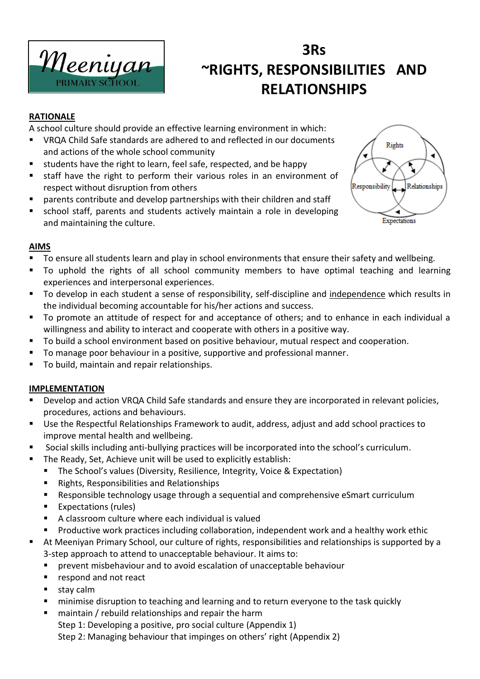

### **3Rs ~RIGHTS, RESPONSIBILITIES AND RELATIONSHIPS**

#### **RATIONALE**

A school culture should provide an effective learning environment in which:

- VRQA Child Safe standards are adhered to and reflected in our documents and actions of the whole school community
- students have the right to learn, feel safe, respected, and be happy
- staff have the right to perform their various roles in an environment of respect without disruption from others
- parents contribute and develop partnerships with their children and staff
- school staff, parents and students actively maintain a role in developing and maintaining the culture.



#### **AIMS**

- To ensure all students learn and play in school environments that ensure their safety and wellbeing.
- To uphold the rights of all school community members to have optimal teaching and learning experiences and interpersonal experiences.
- To develop in each student a sense of responsibility, self-discipline and independence which results in the individual becoming accountable for his/her actions and success.
- To promote an attitude of respect for and acceptance of others; and to enhance in each individual a willingness and ability to interact and cooperate with others in a positive way.
- To build a school environment based on positive behaviour, mutual respect and cooperation.
- To manage poor behaviour in a positive, supportive and professional manner.
- To build, maintain and repair relationships.

#### **IMPLEMENTATION**

- Develop and action VRQA Child Safe standards and ensure they are incorporated in relevant policies, procedures, actions and behaviours.
- Use the Respectful Relationships Framework to audit, address, adjust and add school practices to improve mental health and wellbeing.
- Social skills including anti-bullying practices will be incorporated into the school's curriculum.
- The Ready, Set, Achieve unit will be used to explicitly establish:
	- The School's values (Diversity, Resilience, Integrity, Voice & Expectation)
	- Rights, Responsibilities and Relationships
	- Responsible technology usage through a sequential and comprehensive eSmart curriculum
	- Expectations (rules)
	- A classroom culture where each individual is valued
	- Productive work practices including collaboration, independent work and a healthy work ethic
- At Meeniyan Primary School, our culture of rights, responsibilities and relationships is supported by a 3-step approach to attend to unacceptable behaviour. It aims to:
	- prevent misbehaviour and to avoid escalation of unacceptable behaviour
	- respond and not react
	- stay calm
	- minimise disruption to teaching and learning and to return everyone to the task quickly
	- maintain / rebuild relationships and repair the harm Step 1: Developing a positive, pro social culture (Appendix 1) Step 2: Managing behaviour that impinges on others' right (Appendix 2)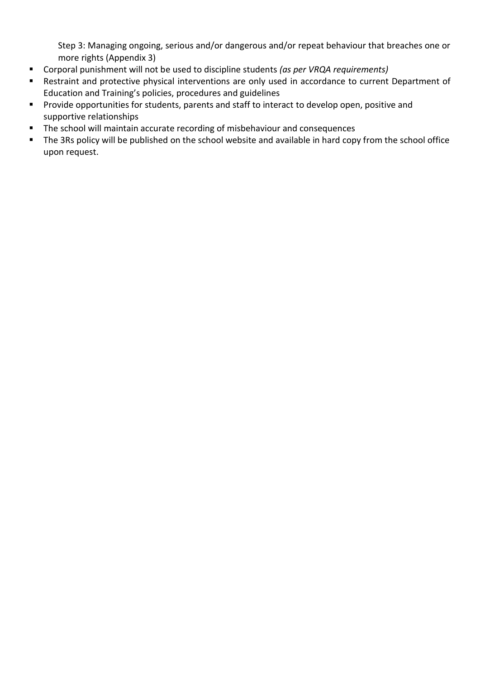Step 3: Managing ongoing, serious and/or dangerous and/or repeat behaviour that breaches one or more rights (Appendix 3)

- Corporal punishment will not be used to discipline students *(as per VRQA requirements)*
- Restraint and protective physical interventions are only used in accordance to current Department of Education and Training's policies, procedures and guidelines
- Provide opportunities for students, parents and staff to interact to develop open, positive and supportive relationships
- The school will maintain accurate recording of misbehaviour and consequences
- The 3Rs policy will be published on the school website and available in hard copy from the school office upon request.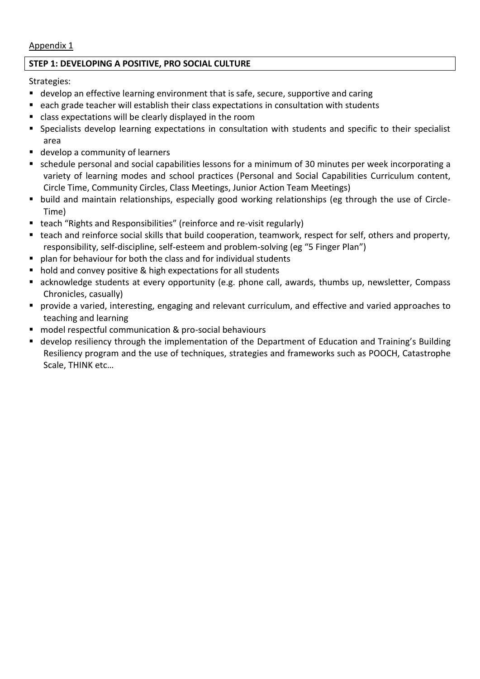#### Appendix 1

#### **STEP 1: DEVELOPING A POSITIVE, PRO SOCIAL CULTURE**

Strategies:

- develop an effective learning environment that is safe, secure, supportive and caring
- each grade teacher will establish their class expectations in consultation with students
- class expectations will be clearly displayed in the room
- Specialists develop learning expectations in consultation with students and specific to their specialist area
- develop a community of learners
- schedule personal and social capabilities lessons for a minimum of 30 minutes per week incorporating a variety of learning modes and school practices (Personal and Social Capabilities Curriculum content, Circle Time, Community Circles, Class Meetings, Junior Action Team Meetings)
- build and maintain relationships, especially good working relationships (eg through the use of Circle-Time)
- teach "Rights and Responsibilities" (reinforce and re-visit regularly)
- teach and reinforce social skills that build cooperation, teamwork, respect for self, others and property, responsibility, self-discipline, self-esteem and problem-solving (eg "5 Finger Plan")
- plan for behaviour for both the class and for individual students
- hold and convey positive & high expectations for all students
- acknowledge students at every opportunity (e.g. phone call, awards, thumbs up, newsletter, Compass Chronicles, casually)
- provide a varied, interesting, engaging and relevant curriculum, and effective and varied approaches to teaching and learning
- model respectful communication & pro-social behaviours
- develop resiliency through the implementation of the Department of Education and Training's Building Resiliency program and the use of techniques, strategies and frameworks such as POOCH, Catastrophe Scale, THINK etc…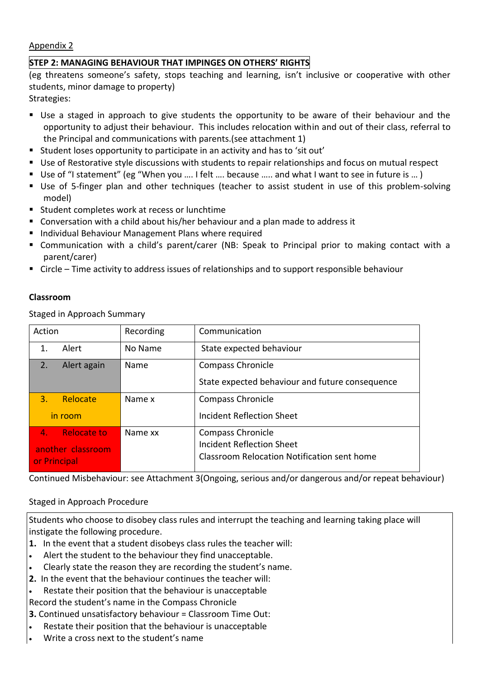#### Appendix 2

#### **STEP 2: MANAGING BEHAVIOUR THAT IMPINGES ON OTHERS' RIGHTS**

(eg threatens someone's safety, stops teaching and learning, isn't inclusive or cooperative with other students, minor damage to property)

Strategies:

- Use a staged in approach to give students the opportunity to be aware of their behaviour and the opportunity to adjust their behaviour. This includes relocation within and out of their class, referral to the Principal and communications with parents.(see attachment 1)
- Student loses opportunity to participate in an activity and has to 'sit out'
- Use of Restorative style discussions with students to repair relationships and focus on mutual respect
- Use of "I statement" (eg "When you .... I felt .... because ..... and what I want to see in future is ... )
- Use of 5-finger plan and other techniques (teacher to assist student in use of this problem-solving model)
- Student completes work at recess or lunchtime
- Conversation with a child about his/her behaviour and a plan made to address it
- Individual Behaviour Management Plans where required
- Communication with a child's parent/carer (NB: Speak to Principal prior to making contact with a parent/carer)
- Circle Time activity to address issues of relationships and to support responsible behaviour

#### **Classroom**

Staged in Approach Summary

| Action                               | Recording | Communication                                   |
|--------------------------------------|-----------|-------------------------------------------------|
| Alert<br>1.                          | No Name   | State expected behaviour                        |
| Alert again<br>2.                    | Name      | Compass Chronicle                               |
|                                      |           | State expected behaviour and future consequence |
| $\mathbf{3}$ .<br>Relocate           | Name x    | Compass Chronicle                               |
| in room                              |           | <b>Incident Reflection Sheet</b>                |
| <b>Relocate to</b><br>4 <sub>1</sub> | Name xx   | Compass Chronicle                               |
| another classroom                    |           | Incident Reflection Sheet                       |
| or Principal                         |           | Classroom Relocation Notification sent home     |
|                                      |           |                                                 |

Continued Misbehaviour: see Attachment 3(Ongoing, serious and/or dangerous and/or repeat behaviour)

#### Staged in Approach Procedure

Students who choose to disobey class rules and interrupt the teaching and learning taking place will instigate the following procedure.

- **1.** In the event that a student disobeys class rules the teacher will:
- Alert the student to the behaviour they find unacceptable.
- Clearly state the reason they are recording the student's name.
- **2.** In the event that the behaviour continues the teacher will:
- Restate their position that the behaviour is unacceptable
- Record the student's name in the Compass Chronicle
- **3.** Continued unsatisfactory behaviour = Classroom Time Out:
- Restate their position that the behaviour is unacceptable
- Write a cross next to the student's name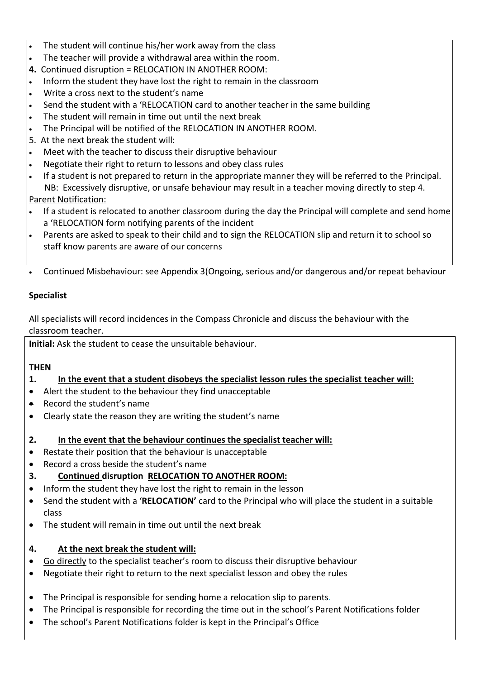- The student will continue his/her work away from the class
- The teacher will provide a withdrawal area within the room.
- **4.** Continued disruption = RELOCATION IN ANOTHER ROOM:
- Inform the student they have lost the right to remain in the classroom
- Write a cross next to the student's name
- Send the student with a 'RELOCATION card to another teacher in the same building
- The student will remain in time out until the next break
- The Principal will be notified of the RELOCATION IN ANOTHER ROOM.
- 5. At the next break the student will:
- Meet with the teacher to discuss their disruptive behaviour
- Negotiate their right to return to lessons and obey class rules
- If a student is not prepared to return in the appropriate manner they will be referred to the Principal. NB: Excessively disruptive, or unsafe behaviour may result in a teacher moving directly to step 4. Parent Notification:
- If a student is relocated to another classroom during the day the Principal will complete and send home a 'RELOCATION form notifying parents of the incident
- Parents are asked to speak to their child and to sign the RELOCATION slip and return it to school so staff know parents are aware of our concerns
- Continued Misbehaviour: see Appendix 3(Ongoing, serious and/or dangerous and/or repeat behaviour

#### **Specialist**

All specialists will record incidences in the Compass Chronicle and discuss the behaviour with the classroom teacher.

**Initial:** Ask the student to cease the unsuitable behaviour.

#### **THEN**

- **1. In the event that a student disobeys the specialist lesson rules the specialist teacher will:**
- Alert the student to the behaviour they find unacceptable
- Record the student's name
- Clearly state the reason they are writing the student's name
- **2. In the event that the behaviour continues the specialist teacher will:**
- Restate their position that the behaviour is unacceptable
- Record a cross beside the student's name
- **3. Continued disruption RELOCATION TO ANOTHER ROOM:**
- Inform the student they have lost the right to remain in the lesson
- Send the student with a '**RELOCATION'** card to the Principal who will place the student in a suitable class
- The student will remain in time out until the next break

#### **4. At the next break the student will:**

- Go directly to the specialist teacher's room to discuss their disruptive behaviour
- Negotiate their right to return to the next specialist lesson and obey the rules
- The Principal is responsible for sending home a relocation slip to parents.
- The Principal is responsible for recording the time out in the school's Parent Notifications folder
- The school's Parent Notifications folder is kept in the Principal's Office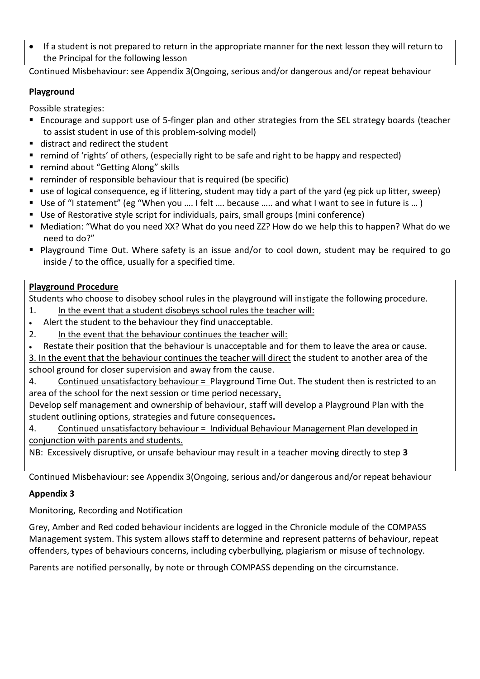If a student is not prepared to return in the appropriate manner for the next lesson they will return to the Principal for the following lesson

Continued Misbehaviour: see Appendix 3(Ongoing, serious and/or dangerous and/or repeat behaviour

#### **Playground**

Possible strategies:

- Encourage and support use of 5-finger plan and other strategies from the SEL strategy boards (teacher to assist student in use of this problem-solving model)
- distract and redirect the student
- remind of 'rights' of others, (especially right to be safe and right to be happy and respected)
- remind about "Getting Along" skills
- reminder of responsible behaviour that is required (be specific)
- use of logical consequence, eg if littering, student may tidy a part of the yard (eg pick up litter, sweep)
- Use of "I statement" (eg "When you .... I felt .... because ..... and what I want to see in future is ... )
- Use of Restorative style script for individuals, pairs, small groups (mini conference)
- Mediation: "What do you need XX? What do you need ZZ? How do we help this to happen? What do we need to do?"
- Playground Time Out. Where safety is an issue and/or to cool down, student may be required to go inside / to the office, usually for a specified time.

#### **Playground Procedure**

Students who choose to disobey school rules in the playground will instigate the following procedure.

- 1. In the event that a student disobeys school rules the teacher will:
- Alert the student to the behaviour they find unacceptable.
- 2. In the event that the behaviour continues the teacher will:
- Restate their position that the behaviour is unacceptable and for them to leave the area or cause.

3. In the event that the behaviour continues the teacher will direct the student to another area of the school ground for closer supervision and away from the cause.

4. Continued unsatisfactory behaviour = Playground Time Out. The student then is restricted to an area of the school for the next session or time period necessary**.**

Develop self management and ownership of behaviour, staff will develop a Playground Plan with the student outlining options, strategies and future consequences**.**

4. Continued unsatisfactory behaviour = Individual Behaviour Management Plan developed in conjunction with parents and students.

NB: Excessively disruptive, or unsafe behaviour may result in a teacher moving directly to step **3**

Continued Misbehaviour: see Appendix 3(Ongoing, serious and/or dangerous and/or repeat behaviour

#### **Appendix 3**

Monitoring, Recording and Notification

Grey, Amber and Red coded behaviour incidents are logged in the Chronicle module of the COMPASS Management system. This system allows staff to determine and represent patterns of behaviour, repeat offenders, types of behaviours concerns, including cyberbullying, plagiarism or misuse of technology.

Parents are notified personally, by note or through COMPASS depending on the circumstance.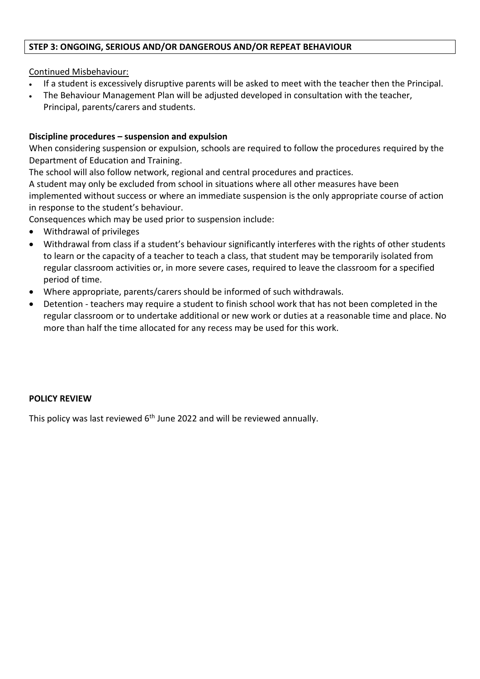#### **STEP 3: ONGOING, SERIOUS AND/OR DANGEROUS AND/OR REPEAT BEHAVIOUR**

#### Continued Misbehaviour:

- If a student is excessively disruptive parents will be asked to meet with the teacher then the Principal.
- The Behaviour Management Plan will be adjusted developed in consultation with the teacher, Principal, parents/carers and students.

#### **Discipline procedures – suspension and expulsion**

When considering suspension or expulsion, schools are required to follow the procedures required by the Department of Education and Training.

The school will also follow network, regional and central procedures and practices.

A student may only be excluded from school in situations where all other measures have been implemented without success or where an immediate suspension is the only appropriate course of action in response to the student's behaviour.

Consequences which may be used prior to suspension include:

- Withdrawal of privileges
- Withdrawal from class if a student's behaviour significantly interferes with the rights of other students to learn or the capacity of a teacher to teach a class, that student may be temporarily isolated from regular classroom activities or, in more severe cases, required to leave the classroom for a specified period of time.
- Where appropriate, parents/carers should be informed of such withdrawals.
- Detention teachers may require a student to finish school work that has not been completed in the regular classroom or to undertake additional or new work or duties at a reasonable time and place. No more than half the time allocated for any recess may be used for this work.

#### **POLICY REVIEW**

This policy was last reviewed 6<sup>th</sup> June 2022 and will be reviewed annually.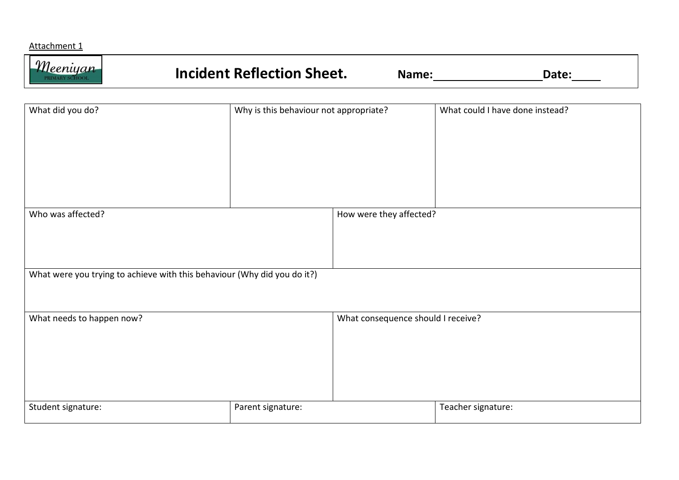#### Attachment 1

| $\eta$ | <b>Incident Reflection Sheet.</b> | ∆ame′ |  |
|--------|-----------------------------------|-------|--|
|--------|-----------------------------------|-------|--|

| What did you do?                                                         | Why is this behaviour not appropriate? |                                    | What could I have done instead? |
|--------------------------------------------------------------------------|----------------------------------------|------------------------------------|---------------------------------|
|                                                                          |                                        |                                    |                                 |
|                                                                          |                                        |                                    |                                 |
|                                                                          |                                        |                                    |                                 |
| Who was affected?                                                        |                                        | How were they affected?            |                                 |
|                                                                          |                                        |                                    |                                 |
| What were you trying to achieve with this behaviour (Why did you do it?) |                                        |                                    |                                 |
| What needs to happen now?                                                |                                        | What consequence should I receive? |                                 |
|                                                                          |                                        |                                    |                                 |
|                                                                          |                                        |                                    |                                 |
|                                                                          |                                        |                                    |                                 |
| Student signature:                                                       | Parent signature:                      |                                    | Teacher signature:              |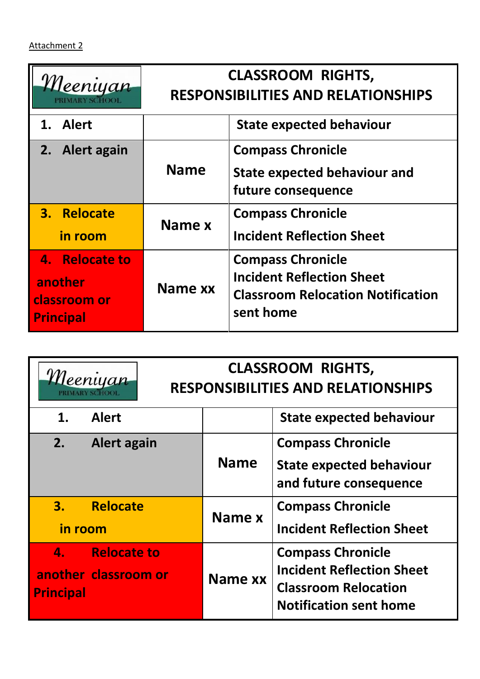| <u>Meeniyan</u>                                               |             | <b>CLASSROOM RIGHTS,</b><br><b>RESPONSIBILITIES AND RELATIONSHIPS</b>                                                 |
|---------------------------------------------------------------|-------------|-----------------------------------------------------------------------------------------------------------------------|
| 1. Alert                                                      |             | <b>State expected behaviour</b>                                                                                       |
| 2. Alert again                                                | <b>Name</b> | <b>Compass Chronicle</b><br><b>State expected behaviour and</b><br>future consequence                                 |
| 3. Relocate<br>in room                                        | Name x      | <b>Compass Chronicle</b><br><b>Incident Reflection Sheet</b>                                                          |
| 4. Relocate to<br>another<br>classroom or<br><b>Principal</b> | Name xx     | <b>Compass Chronicle</b><br><b>Incident Reflection Sheet</b><br><b>Classroom Relocation Notification</b><br>sent home |

| Meeniyan         |                                        |             | <b>CLASSROOM RIGHTS,</b><br><b>RESPONSIBILITIES AND RELATIONSHIPS</b>                                                        |
|------------------|----------------------------------------|-------------|------------------------------------------------------------------------------------------------------------------------------|
| 1.               | <b>Alert</b>                           |             | <b>State expected behaviour</b>                                                                                              |
| 2.               | <b>Alert again</b>                     | <b>Name</b> | <b>Compass Chronicle</b><br><b>State expected behaviour</b><br>and future consequence                                        |
| in room          | 3. Relocate                            | Name x      | <b>Compass Chronicle</b><br><b>Incident Reflection Sheet</b>                                                                 |
| <b>Principal</b> | 4. Relocate to<br>another classroom or | Name xx     | <b>Compass Chronicle</b><br><b>Incident Reflection Sheet</b><br><b>Classroom Relocation</b><br><b>Notification sent home</b> |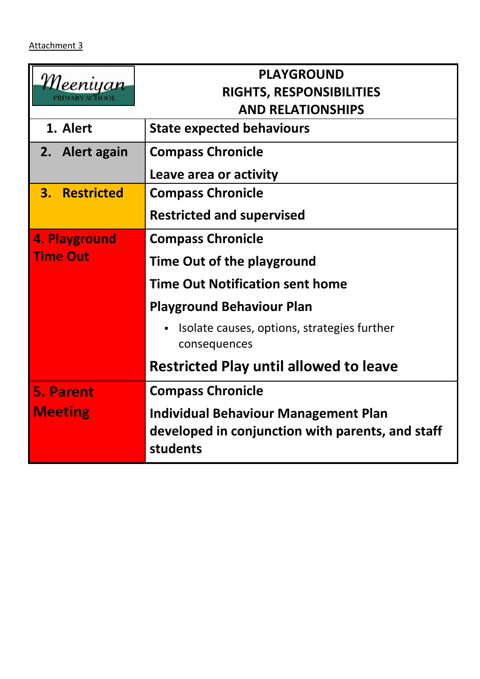| <i>'Meeniyan</i> | <b>PLAYGROUND</b>                                                                                           |  |  |
|------------------|-------------------------------------------------------------------------------------------------------------|--|--|
|                  | RIGHTS, RESPONSIBILITIES                                                                                    |  |  |
|                  | <b>AND RELATIONSHIPS</b>                                                                                    |  |  |
| 1. Alert         | <b>State expected behaviours</b>                                                                            |  |  |
| 2. Alert again   | <b>Compass Chronicle</b>                                                                                    |  |  |
|                  | Leave area or activity                                                                                      |  |  |
| 3. Restricted    | <b>Compass Chronicle</b>                                                                                    |  |  |
|                  | <b>Restricted and supervised</b>                                                                            |  |  |
| 4. Playground    | <b>Compass Chronicle</b>                                                                                    |  |  |
| <b>Time Out</b>  | Time Out of the playground                                                                                  |  |  |
|                  | <b>Time Out Notification sent home</b>                                                                      |  |  |
|                  | <b>Playground Behaviour Plan</b>                                                                            |  |  |
|                  | Isolate causes, options, strategies further<br>consequences                                                 |  |  |
|                  | <b>Restricted Play until allowed to leave</b>                                                               |  |  |
| <b>5. Parent</b> | <b>Compass Chronicle</b>                                                                                    |  |  |
| <b>Meeting</b>   | <b>Individual Behaviour Management Plan</b><br>developed in conjunction with parents, and staff<br>students |  |  |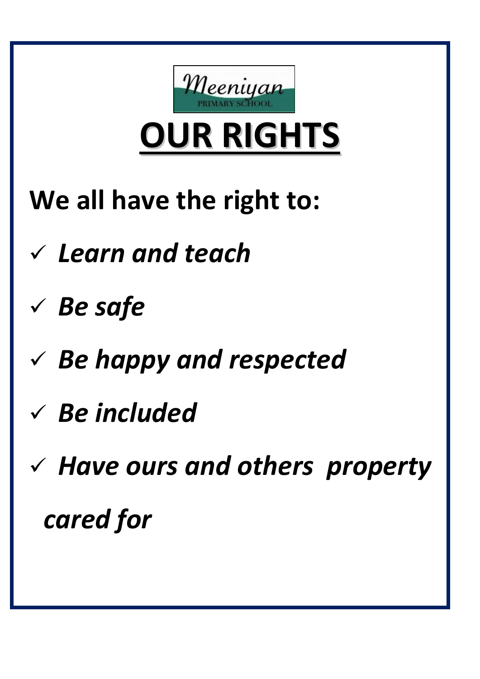

**OUR RIGHTS**

- **We all have the right to:**
- ✓ *Learn and teach*
- ✓ *Be safe*
- ✓ *Be happy and respected*
- ✓ *Be included*
- ✓ *Have ours and others property cared for*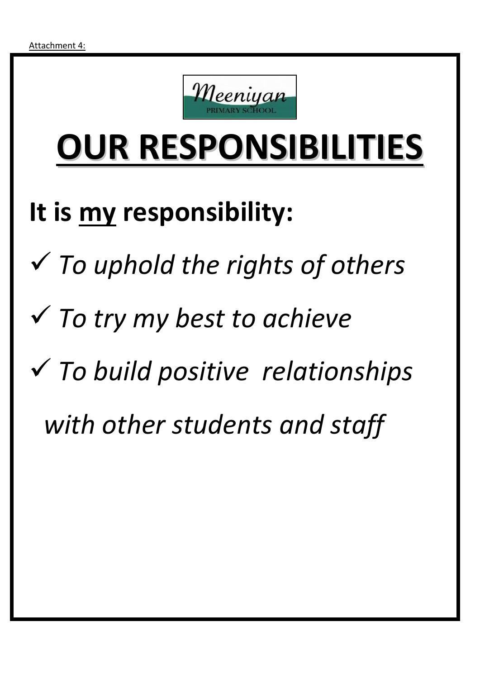

# **OUR RESPONSIBILITIES**

### **It is my responsibility:**

- ✓ *To uphold the rights of others*
- ✓ *To try my best to achieve*
- ✓ *To build positive relationships* 
	- *with other students and staff*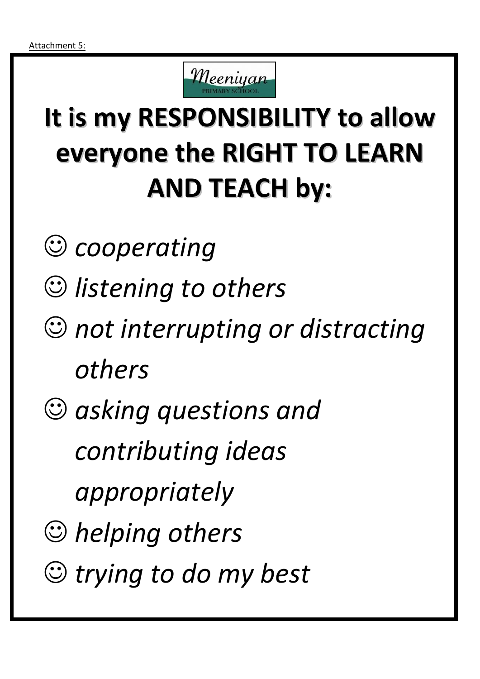

### **It is my RESPONSIBILITY to allow everyone the RIGHT TO LEARN AND TEACH by:**

- ☺ *cooperating*
- ☺ *listening to others*
- ☺ *not interrupting or distracting others*
- ☺ *asking questions and* 
	- *contributing ideas*
	- *appropriately*
- ☺ *helping others*
- ☺ *trying to do my best*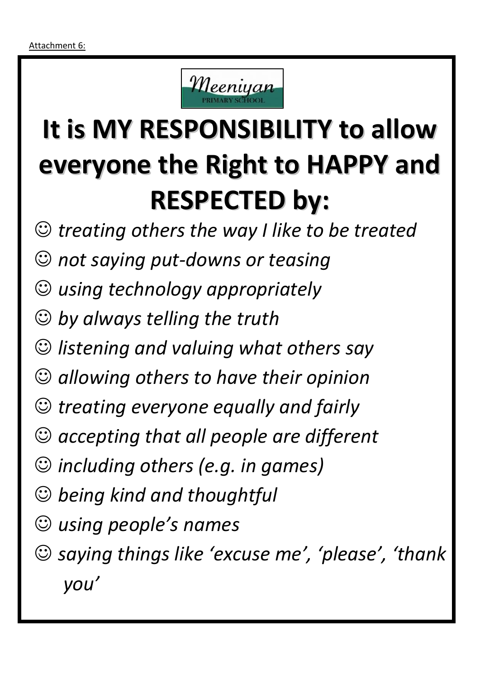

### **It is MY RESPONSIBILITY to allow everyone the Right to HAPPY and RESPECTED by:**

- ☺ *treating others the way I like to be treated*
- ☺ *not saying put-downs or teasing*
- ☺ *using technology appropriately*
- ☺ *by always telling the truth*
- ☺ *listening and valuing what others say*
- ☺ *allowing others to have their opinion*
- ☺ *treating everyone equally and fairly*
- ☺ *accepting that all people are different*
- ☺ *including others (e.g. in games)*
- ☺ *being kind and thoughtful*
- ☺ *using people's names*
- ☺ *saying things like 'excuse me', 'please', 'thank you'*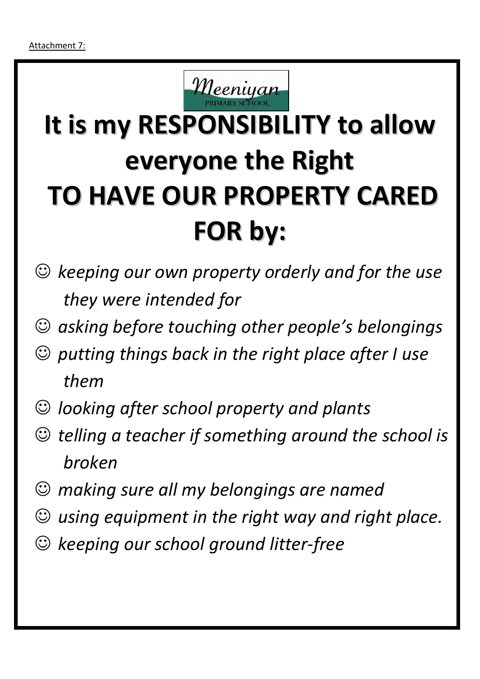

## **It is my RESPONSIBILITY to allow everyone the Right TO HAVE OUR PROPERTY CARED FOR by:**

- ☺ *keeping our own property orderly and for the use they were intended for*
- ☺ *asking before touching other people's belongings*
- ☺ *putting things back in the right place after I use them*
- ☺ *looking after school property and plants*
- ☺ *telling a teacher if something around the school is broken*
- ☺ *making sure all my belongings are named*
- ☺ *using equipment in the right way and right place.*
- ☺ *keeping our school ground litter-free*